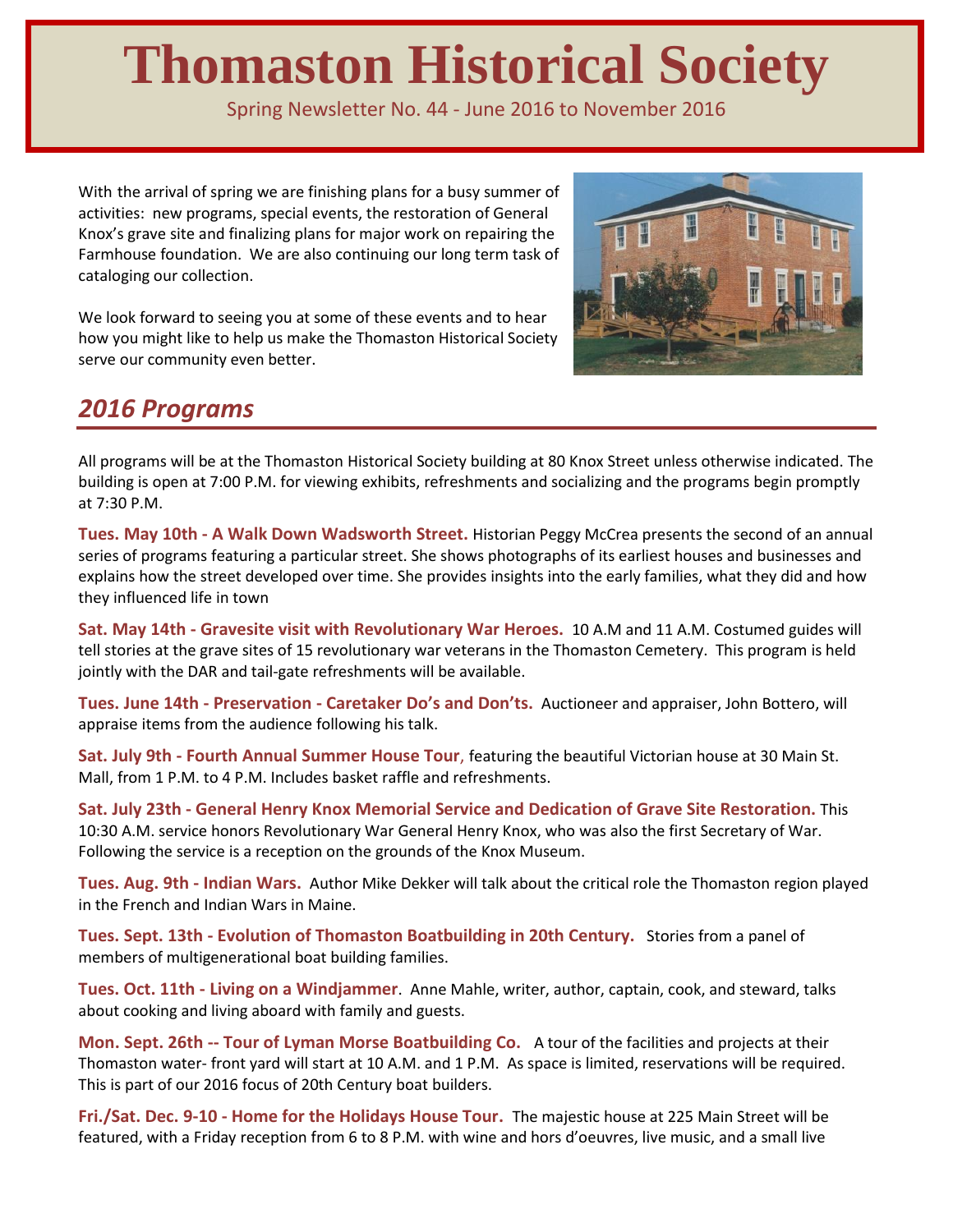# **Thomaston Historical Society**

Spring Newsletter No. 44 - June 2016 to November 2016

With the arrival of spring we are finishing plans for a busy summer of activities: new programs, special events, the restoration of General Knox's grave site and finalizing plans for major work on repairing the Farmhouse foundation. We are also continuing our long term task of cataloging our collection.

We look forward to seeing you at some of these events and to hear how you might like to help us make the Thomaston Historical Society serve our community even better.



## *2016 Programs*

All programs will be at the Thomaston Historical Society building at 80 Knox Street unless otherwise indicated. The building is open at 7:00 P.M. for viewing exhibits, refreshments and socializing and the programs begin promptly at 7:30 P.M.

**Tues. May 10th - A Walk Down Wadsworth Street.** Historian Peggy McCrea presents the second of an annual series of programs featuring a particular street. She shows photographs of its earliest houses and businesses and explains how the street developed over time. She provides insights into the early families, what they did and how they influenced life in town

**Sat. May 14th - Gravesite visit with Revolutionary War Heroes.** 10 A.M and 11 A.M. Costumed guides will tell stories at the grave sites of 15 revolutionary war veterans in the Thomaston Cemetery. This program is held jointly with the DAR and tail-gate refreshments will be available.

**Tues. June 14th - Preservation - Caretaker Do's and Don'ts.** Auctioneer and appraiser, John Bottero, will appraise items from the audience following his talk.

**Sat. July 9th - Fourth Annual Summer House Tour**, featuring the beautiful Victorian house at 30 Main St. Mall, from 1 P.M. to 4 P.M. Includes basket raffle and refreshments.

**Sat. July 23th - General Henry Knox Memorial Service and Dedication of Grave Site Restoration.** This 10:30 A.M. service honors Revolutionary War General Henry Knox, who was also the first Secretary of War. Following the service is a reception on the grounds of the Knox Museum.

**Tues. Aug. 9th - Indian Wars.** Author Mike Dekker will talk about the critical role the Thomaston region played in the French and Indian Wars in Maine.

**Tues. Sept. 13th - Evolution of Thomaston Boatbuilding in 20th Century.** Stories from a panel of members of multigenerational boat building families.

**Tues. Oct. 11th - Living on a Windjammer**. Anne Mahle, writer, author, captain, cook, and steward, talks about cooking and living aboard with family and guests.

**Mon. Sept. 26th -- Tour of Lyman Morse Boatbuilding Co.** A tour of the facilities and projects at their Thomaston water- front yard will start at 10 A.M. and 1 P.M. As space is limited, reservations will be required. This is part of our 2016 focus of 20th Century boat builders.

**Fri./Sat. Dec. 9-10 - Home for the Holidays House Tour.** The majestic house at 225 Main Street will be featured, with a Friday reception from 6 to 8 P.M. with wine and hors d'oeuvres, live music, and a small live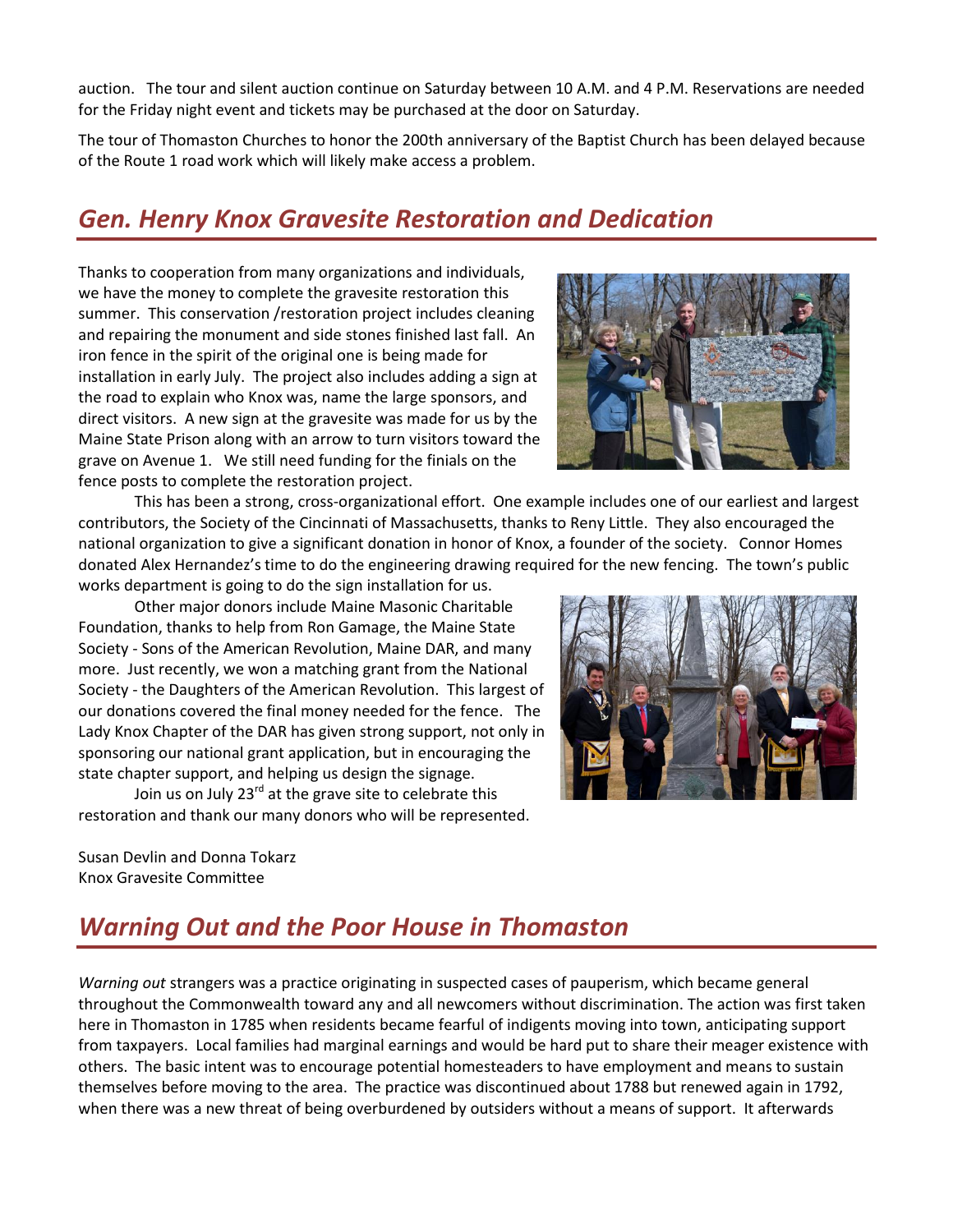auction. The tour and silent auction continue on Saturday between 10 A.M. and 4 P.M. Reservations are needed for the Friday night event and tickets may be purchased at the door on Saturday.

The tour of Thomaston Churches to honor the 200th anniversary of the Baptist Church has been delayed because of the Route 1 road work which will likely make access a problem.

# *Gen. Henry Knox Gravesite Restoration and Dedication*

Thanks to cooperation from many organizations and individuals, we have the money to complete the gravesite restoration this summer. This conservation /restoration project includes cleaning and repairing the monument and side stones finished last fall. An iron fence in the spirit of the original one is being made for installation in early July. The project also includes adding a sign at the road to explain who Knox was, name the large sponsors, and direct visitors. A new sign at the gravesite was made for us by the Maine State Prison along with an arrow to turn visitors toward the grave on Avenue 1. We still need funding for the finials on the fence posts to complete the restoration project.

This has been a strong, cross-organizational effort. One example includes one of our earliest and largest contributors, the Society of the Cincinnati of Massachusetts, thanks to Reny Little. They also encouraged the national organization to give a significant donation in honor of Knox, a founder of the society. Connor Homes donated Alex Hernandez's time to do the engineering drawing required for the new fencing. The town's public works department is going to do the sign installation for us.

Other major donors include Maine Masonic Charitable Foundation, thanks to help from Ron Gamage, the Maine State Society - Sons of the American Revolution, Maine DAR, and many more. Just recently, we won a matching grant from the National Society - the Daughters of the American Revolution. This largest of our donations covered the final money needed for the fence. The Lady Knox Chapter of the DAR has given strong support, not only in sponsoring our national grant application, but in encouraging the state chapter support, and helping us design the signage.

Join us on July  $23^{rd}$  at the grave site to celebrate this restoration and thank our many donors who will be represented.

Susan Devlin and Donna Tokarz Knox Gravesite Committee

# *Warning Out and the Poor House in Thomaston*

*Warning out* strangers was a practice originating in suspected cases of pauperism, which became general throughout the Commonwealth toward any and all newcomers without discrimination. The action was first taken here in Thomaston in 1785 when residents became fearful of indigents moving into town, anticipating support from taxpayers. Local families had marginal earnings and would be hard put to share their meager existence with others. The basic intent was to encourage potential homesteaders to have employment and means to sustain themselves before moving to the area. The practice was discontinued about 1788 but renewed again in 1792, when there was a new threat of being overburdened by outsiders without a means of support. It afterwards



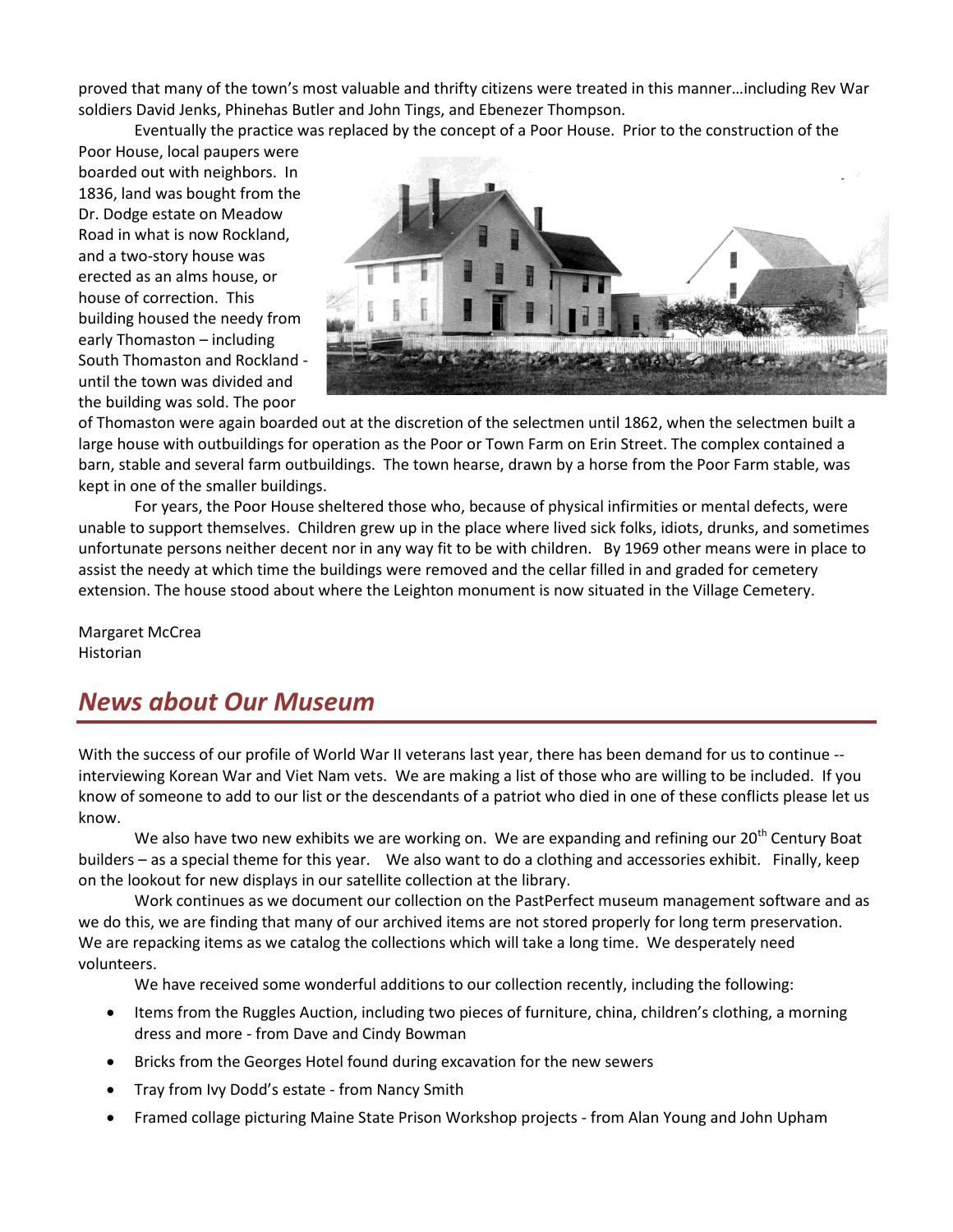proved that many of the town's most valuable and thrifty citizens were treated in this manner…including Rev War soldiers David Jenks, Phinehas Butler and John Tings, and Ebenezer Thompson.

Eventually the practice was replaced by the concept of a Poor House. Prior to the construction of the

Poor House, local paupers were boarded out with neighbors. In 1836, land was bought from the Dr. Dodge estate on Meadow Road in what is now Rockland, and a two-story house was erected as an alms house, or house of correction. This building housed the needy from early Thomaston – including South Thomaston and Rockland until the town was divided and the building was sold. The poor



of Thomaston were again boarded out at the discretion of the selectmen until 1862, when the selectmen built a large house with outbuildings for operation as the Poor or Town Farm on Erin Street. The complex contained a barn, stable and several farm outbuildings. The town hearse, drawn by a horse from the Poor Farm stable, was kept in one of the smaller buildings.

For years, the Poor House sheltered those who, because of physical infirmities or mental defects, were unable to support themselves. Children grew up in the place where lived sick folks, idiots, drunks, and sometimes unfortunate persons neither decent nor in any way fit to be with children. By 1969 other means were in place to assist the needy at which time the buildings were removed and the cellar filled in and graded for cemetery extension. The house stood about where the Leighton monument is now situated in the Village Cemetery.

Margaret McCrea Historian

## *News about Our Museum*

With the success of our profile of World War II veterans last year, there has been demand for us to continue - interviewing Korean War and Viet Nam vets. We are making a list of those who are willing to be included. If you know of someone to add to our list or the descendants of a patriot who died in one of these conflicts please let us know.

We also have two new exhibits we are working on. We are expanding and refining our 20<sup>th</sup> Century Boat builders – as a special theme for this year. We also want to do a clothing and accessories exhibit. Finally, keep on the lookout for new displays in our satellite collection at the library.

Work continues as we document our collection on the PastPerfect museum management software and as we do this, we are finding that many of our archived items are not stored properly for long term preservation. We are repacking items as we catalog the collections which will take a long time. We desperately need volunteers.

We have received some wonderful additions to our collection recently, including the following:

- Items from the Ruggles Auction, including two pieces of furniture, china, children's clothing, a morning dress and more - from Dave and Cindy Bowman
- Bricks from the Georges Hotel found during excavation for the new sewers
- Tray from Ivy Dodd's estate from Nancy Smith
- Framed collage picturing Maine State Prison Workshop projects from Alan Young and John Upham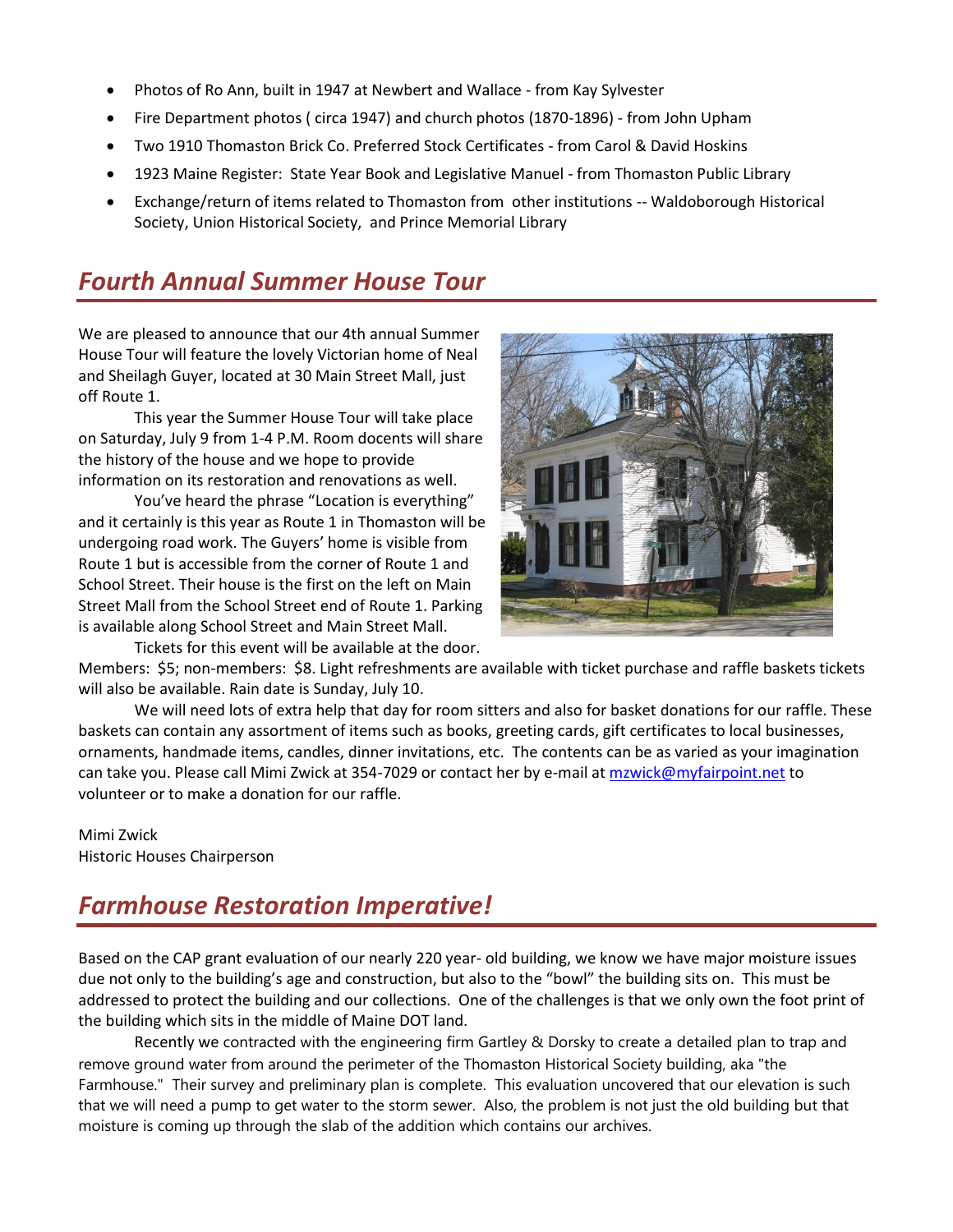- Photos of Ro Ann, built in 1947 at Newbert and Wallace from Kay Sylvester
- Fire Department photos ( circa 1947) and church photos (1870-1896) from John Upham
- Two 1910 Thomaston Brick Co. Preferred Stock Certificates from Carol & David Hoskins
- 1923 Maine Register: State Year Book and Legislative Manuel from Thomaston Public Library
- Exchange/return of items related to Thomaston from other institutions -- Waldoborough Historical Society, Union Historical Society, and Prince Memorial Library

## *Fourth Annual Summer House Tour*

We are pleased to announce that our 4th annual Summer House Tour will feature the lovely Victorian home of Neal and Sheilagh Guyer, located at 30 Main Street Mall, just off Route 1.

This year the Summer House Tour will take place on Saturday, July 9 from 1-4 P.M. Room docents will share the history of the house and we hope to provide information on its restoration and renovations as well.

You've heard the phrase "Location is everything" and it certainly is this year as Route 1 in Thomaston will be undergoing road work. The Guyers' home is visible from Route 1 but is accessible from the corner of Route 1 and School Street. Their house is the first on the left on Main Street Mall from the School Street end of Route 1. Parking is available along School Street and Main Street Mall.

Tickets for this event will be available at the door.



Members: \$5; non-members: \$8. Light refreshments are available with ticket purchase and raffle baskets tickets will also be available. Rain date is Sunday, July 10.

We will need lots of extra help that day for room sitters and also for basket donations for our raffle. These baskets can contain any assortment of items such as books, greeting cards, gift certificates to local businesses, ornaments, handmade items, candles, dinner invitations, etc. The contents can be as varied as your imagination can take you. Please call Mimi Zwick at 354-7029 or contact her by e-mail a[t mzwick@myfairpoint.net](mailto:mzwick@myfairpoint.net) to volunteer or to make a donation for our raffle.

Mimi Zwick Historic Houses Chairperson

# *Farmhouse Restoration Imperative!*

Based on the CAP grant evaluation of our nearly 220 year- old building, we know we have major moisture issues due not only to the building's age and construction, but also to the "bowl" the building sits on. This must be addressed to protect the building and our collections. One of the challenges is that we only own the foot print of the building which sits in the middle of Maine DOT land.

Recently we contracted with the engineering firm Gartley & Dorsky to create a detailed plan to trap and remove ground water from around the perimeter of the Thomaston Historical Society building, aka "the Farmhouse." Their survey and preliminary plan is complete. This evaluation uncovered that our elevation is such that we will need a pump to get water to the storm sewer. Also, the problem is not just the old building but that moisture is coming up through the slab of the addition which contains our archives.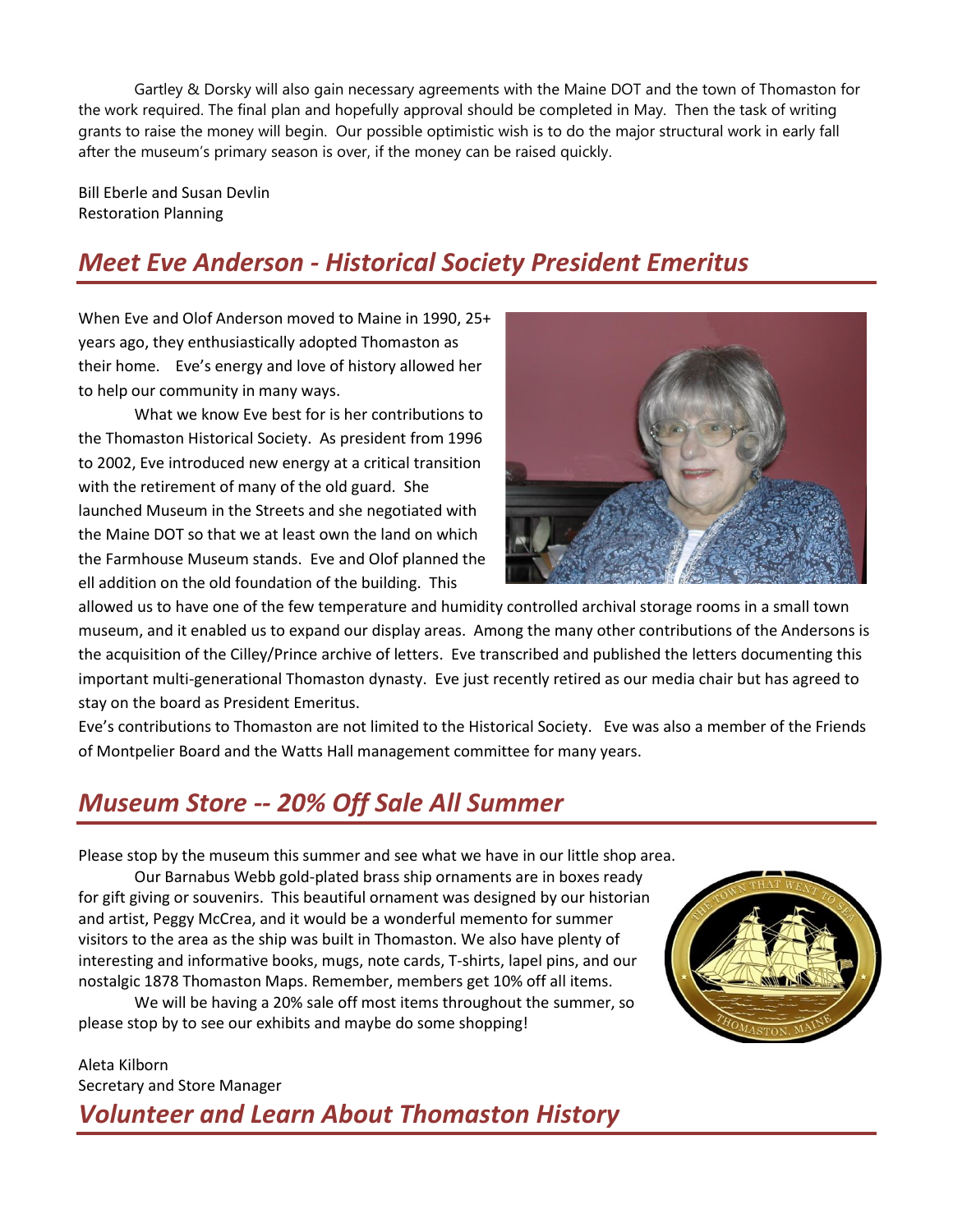Gartley & Dorsky will also gain necessary agreements with the Maine DOT and the town of Thomaston for the work required. The final plan and hopefully approval should be completed in May. Then the task of writing grants to raise the money will begin. Our possible optimistic wish is to do the major structural work in early fall after the museum's primary season is over, if the money can be raised quickly.

Bill Eberle and Susan Devlin Restoration Planning

# *Meet Eve Anderson - Historical Society President Emeritus*

When Eve and Olof Anderson moved to Maine in 1990, 25+ years ago, they enthusiastically adopted Thomaston as their home. Eve's energy and love of history allowed her to help our community in many ways.

What we know Eve best for is her contributions to the Thomaston Historical Society. As president from 1996 to 2002, Eve introduced new energy at a critical transition with the retirement of many of the old guard. She launched Museum in the Streets and she negotiated with the Maine DOT so that we at least own the land on which the Farmhouse Museum stands. Eve and Olof planned the ell addition on the old foundation of the building. This



allowed us to have one of the few temperature and humidity controlled archival storage rooms in a small town museum, and it enabled us to expand our display areas. Among the many other contributions of the Andersons is the acquisition of the Cilley/Prince archive of letters. Eve transcribed and published the letters documenting this important multi-generational Thomaston dynasty. Eve just recently retired as our media chair but has agreed to stay on the board as President Emeritus.

Eve's contributions to Thomaston are not limited to the Historical Society. Eve was also a member of the Friends of Montpelier Board and the Watts Hall management committee for many years.

# *Museum Store -- 20% Off Sale All Summer*

Please stop by the museum this summer and see what we have in our little shop area.

Our Barnabus Webb gold-plated brass ship ornaments are in boxes ready for gift giving or souvenirs. This beautiful ornament was designed by our historian and artist, Peggy McCrea, and it would be a wonderful memento for summer visitors to the area as the ship was built in Thomaston. We also have plenty of interesting and informative books, mugs, note cards, T-shirts, lapel pins, and our nostalgic 1878 Thomaston Maps. Remember, members get 10% off all items.

We will be having a 20% sale off most items throughout the summer, so please stop by to see our exhibits and maybe do some shopping!

Aleta Kilborn Secretary and Store Manager

# *Volunteer and Learn About Thomaston History*

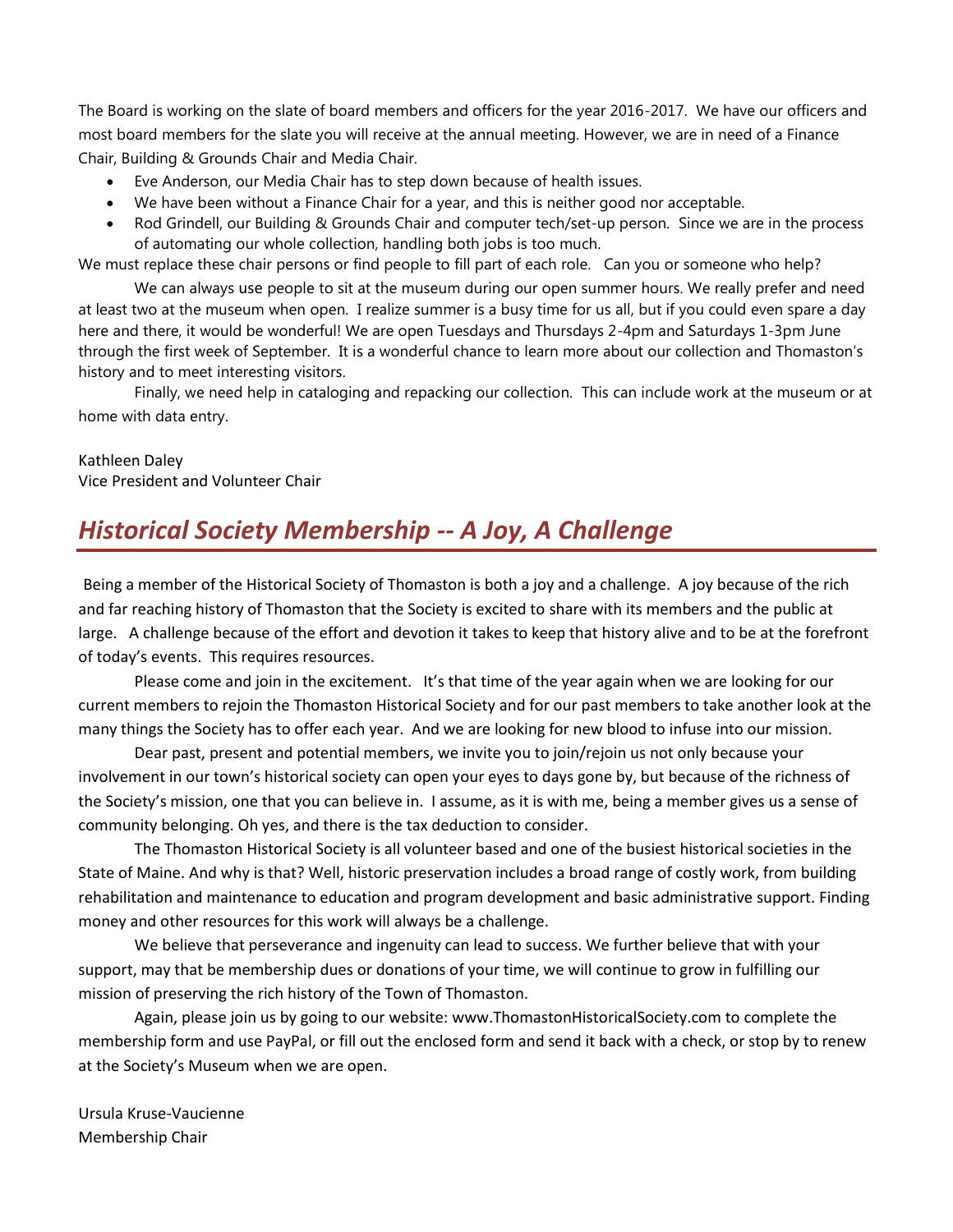The Board is working on the slate of board members and officers for the year 2016-2017. We have our officers and most board members for the slate you will receive at the annual meeting. However, we are in need of a Finance Chair, Building & Grounds Chair and Media Chair.

- Eve Anderson, our Media Chair has to step down because of health issues.
- We have been without a Finance Chair for a year, and this is neither good nor acceptable.
- Rod Grindell, our Building & Grounds Chair and computer tech/set-up person. Since we are in the process of automating our whole collection, handling both jobs is too much.

We must replace these chair persons or find people to fill part of each role. Can you or someone who help?

We can always use people to sit at the museum during our open summer hours. We really prefer and need at least two at the museum when open. I realize summer is a busy time for us all, but if you could even spare a day here and there, it would be wonderful! We are open Tuesdays and Thursdays 2-4pm and Saturdays 1-3pm June through the first week of September. It is a wonderful chance to learn more about our collection and Thomaston's history and to meet interesting visitors.

Finally, we need help in cataloging and repacking our collection. This can include work at the museum or at home with data entry.

#### Kathleen Daley Vice President and Volunteer Chair

# *Historical Society Membership -- A Joy, A Challenge*

Being a member of the Historical Society of Thomaston is both a joy and a challenge. A joy because of the rich and far reaching history of Thomaston that the Society is excited to share with its members and the public at large. A challenge because of the effort and devotion it takes to keep that history alive and to be at the forefront of today's events. This requires resources.

Please come and join in the excitement. It's that time of the year again when we are looking for our current members to rejoin the Thomaston Historical Society and for our past members to take another look at the many things the Society has to offer each year. And we are looking for new blood to infuse into our mission.

Dear past, present and potential members, we invite you to join/rejoin us not only because your involvement in our town's historical society can open your eyes to days gone by, but because of the richness of the Society's mission, one that you can believe in. I assume, as it is with me, being a member gives us a sense of community belonging. Oh yes, and there is the tax deduction to consider.

The Thomaston Historical Society is all volunteer based and one of the busiest historical societies in the State of Maine. And why is that? Well, historic preservation includes a broad range of costly work, from building rehabilitation and maintenance to education and program development and basic administrative support. Finding money and other resources for this work will always be a challenge.

We believe that perseverance and ingenuity can lead to success. We further believe that with your support, may that be membership dues or donations of your time, we will continue to grow in fulfilling our mission of preserving the rich history of the Town of Thomaston.

Again, please join us by going to our website[: www.ThomastonHistoricalSociety.com](http://www.thomastonhistoricalsociety.com/) to complete the membership form and use PayPal, or fill out the enclosed form and send it back with a check, or stop by to renew at the Society's Museum when we are open.

Ursula Kruse-Vaucienne Membership Chair